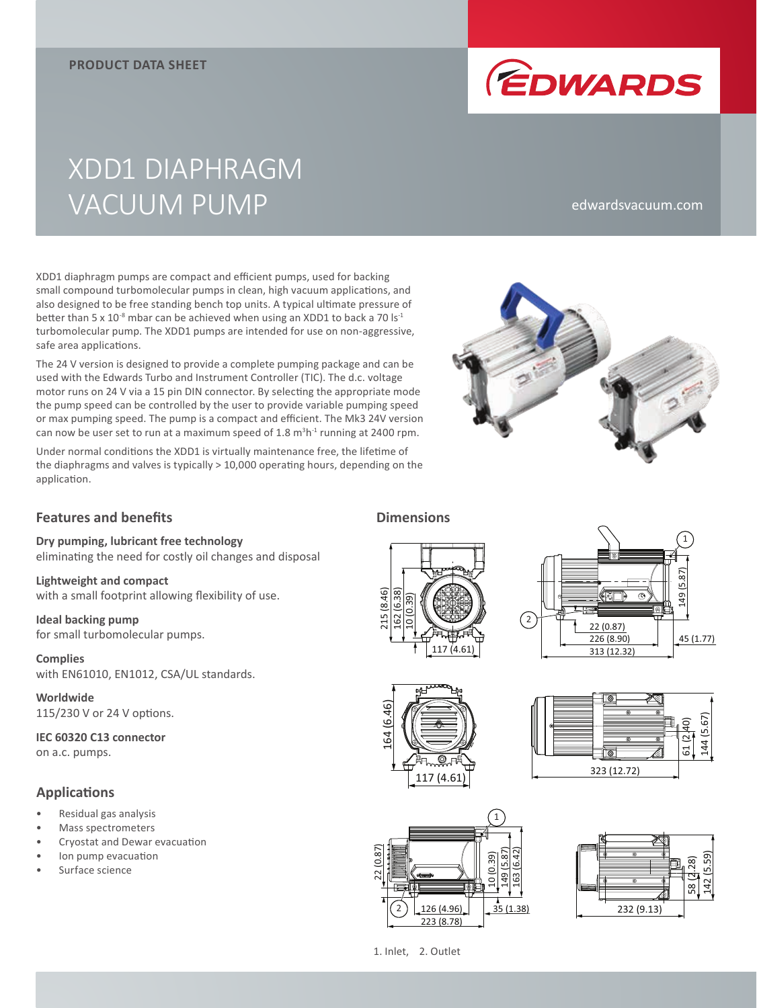

# XDD1 DIAPHRAGM VACUUM PUMP

#### edwardsvacuum.com

XDD1 diaphragm pumps are compact and efficient pumps, used for backing small compound turbomolecular pumps in clean, high vacuum applications, and also designed to be free standing bench top units. A typical ultimate pressure of better than 5 x  $10^{-8}$  mbar can be achieved when using an XDD1 to back a 70 ls<sup>-1</sup> turbomolecular pump. The XDD1 pumps are intended for use on non-aggressive, safe area applications.

The 24 V version is designed to provide a complete pumping package and can be used with the Edwards Turbo and Instrument Controller (TIC). The d.c. voltage motor runs on 24 V via a 15 pin DIN connector. By selecting the appropriate mode the pump speed can be controlled by the user to provide variable pumping speed or max pumping speed. The pump is a compact and efficient. The Mk3 24V version can now be user set to run at a maximum speed of 1.8  $m<sup>3</sup>h<sup>-1</sup>$  running at 2400 rpm.

Under normal conditions the XDD1 is virtually maintenance free, the lifetime of the diaphragms and valves is typically > 10,000 operating hours, depending on the application.



## **Features and benefits**

**Dry pumping, lubricant free technology**  eliminating the need for costly oil changes and disposal

**Lightweight and compact** with a small footprint allowing flexibility of use.

**Ideal backing pump** for small turbomolecular pumps.

**Complies** with EN61010, EN1012, CSA/UL standards.

**Worldwide** 115/230 V or 24 V options.

**IEC 60320 C13 connector** on a.c. pumps.

## **Applications**

- Residual gas analysis
- Mass spectrometers
- Cryostat and Dewar evacuation
- Ion pump evacuation
- Surface science

117 (4.61) 215 (8.46) 162 (6.38) 10 (0.39)

**Dimensions**